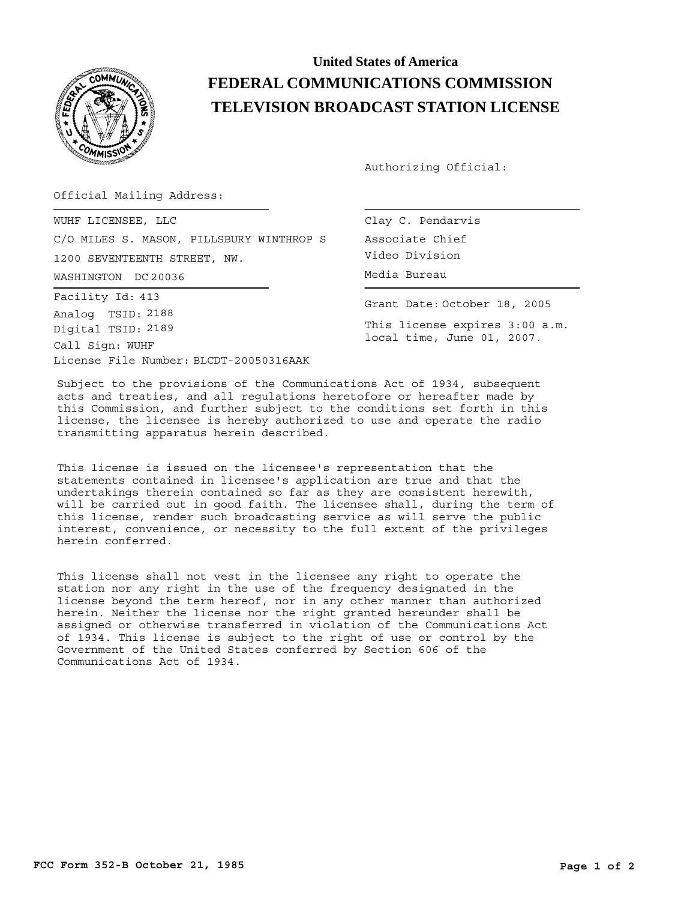

## **United States of America FEDERAL COMMUNICATIONS COMMISSION TELEVISION BROADCAST STATION LICENSE**

Authorizing Official:

Official Mailing Address:

WASHINGTON Media Bureau DC 20036 WUHF LICENSEE, LLC C/O MILES S. MASON, PILLSBURY WINTHROP S 1200 SEVENTEENTH STREET, NW.

License File Number: BLCDT-20050316AAK Call Sign: WUHF Facility Id: 413 Digital TSID: 2189 Analog TSID: 2188

Clay C. Pendarvis Associate Chief Video Division

Grant Date: October 18, 2005

This license expires 3:00 a.m. local time, June 01, 2007.

Subject to the provisions of the Communications Act of 1934, subsequent acts and treaties, and all regulations heretofore or hereafter made by this Commission, and further subject to the conditions set forth in this license, the licensee is hereby authorized to use and operate the radio transmitting apparatus herein described.

This license is issued on the licensee's representation that the statements contained in licensee's application are true and that the undertakings therein contained so far as they are consistent herewith, will be carried out in good faith. The licensee shall, during the term of this license, render such broadcasting service as will serve the public interest, convenience, or necessity to the full extent of the privileges herein conferred.

This license shall not vest in the licensee any right to operate the station nor any right in the use of the frequency designated in the license beyond the term hereof, nor in any other manner than authorized herein. Neither the license nor the right granted hereunder shall be assigned or otherwise transferred in violation of the Communications Act of 1934. This license is subject to the right of use or control by the Government of the United States conferred by Section 606 of the Communications Act of 1934.